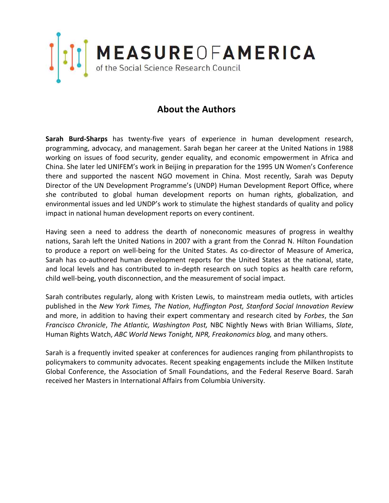

## **About the Authors**

**Sarah Burd‐Sharps** has twenty‐five years of experience in human development research, programming, advocacy, and management. Sarah began her career at the United Nations in 1988 working on issues of food security, gender equality, and economic empowerment in Africa and China. She later led UNIFEM's work in Beijing in preparation for the 1995 UN Women's Conference there and supported the nascent NGO movement in China. Most recently, Sarah was Deputy Director of the UN Development Programme's (UNDP) Human Development Report Office, where she contributed to global human development reports on human rights, globalization, and environmental issues and led UNDP's work to stimulate the highest standards of quality and policy impact in national human development reports on every continent.

Having seen a need to address the dearth of noneconomic measures of progress in wealthy nations, Sarah left the United Nations in 2007 with a grant from the Conrad N. Hilton Foundation to produce a report on well-being for the United States. As co-director of Measure of America, Sarah has co-authored human development reports for the United States at the national, state, and local levels and has contributed to in-depth research on such topics as health care reform, child well‐being, youth disconnection, and the measurement of social impact.

Sarah contributes regularly, along with Kristen Lewis, to mainstream media outlets, with articles published in the *New York Times, The Nation*, *Huffington Post, Stanford Social Innovation Review*  and more, in addition to having their expert commentary and research cited by *Forbes*, the *San Francisco Chronicle*, *The Atlantic, Washington Post,* NBC Nightly News with Brian Williams, *Slate*, Human Rights Watch, *ABC World News Tonight, NPR, Freakonomics blog,* and many others.

Sarah is a frequently invited speaker at conferences for audiences ranging from philanthropists to policymakers to community advocates. Recent speaking engagements include the Milken Institute Global Conference, the Association of Small Foundations, and the Federal Reserve Board. Sarah received her Masters in International Affairs from Columbia University.